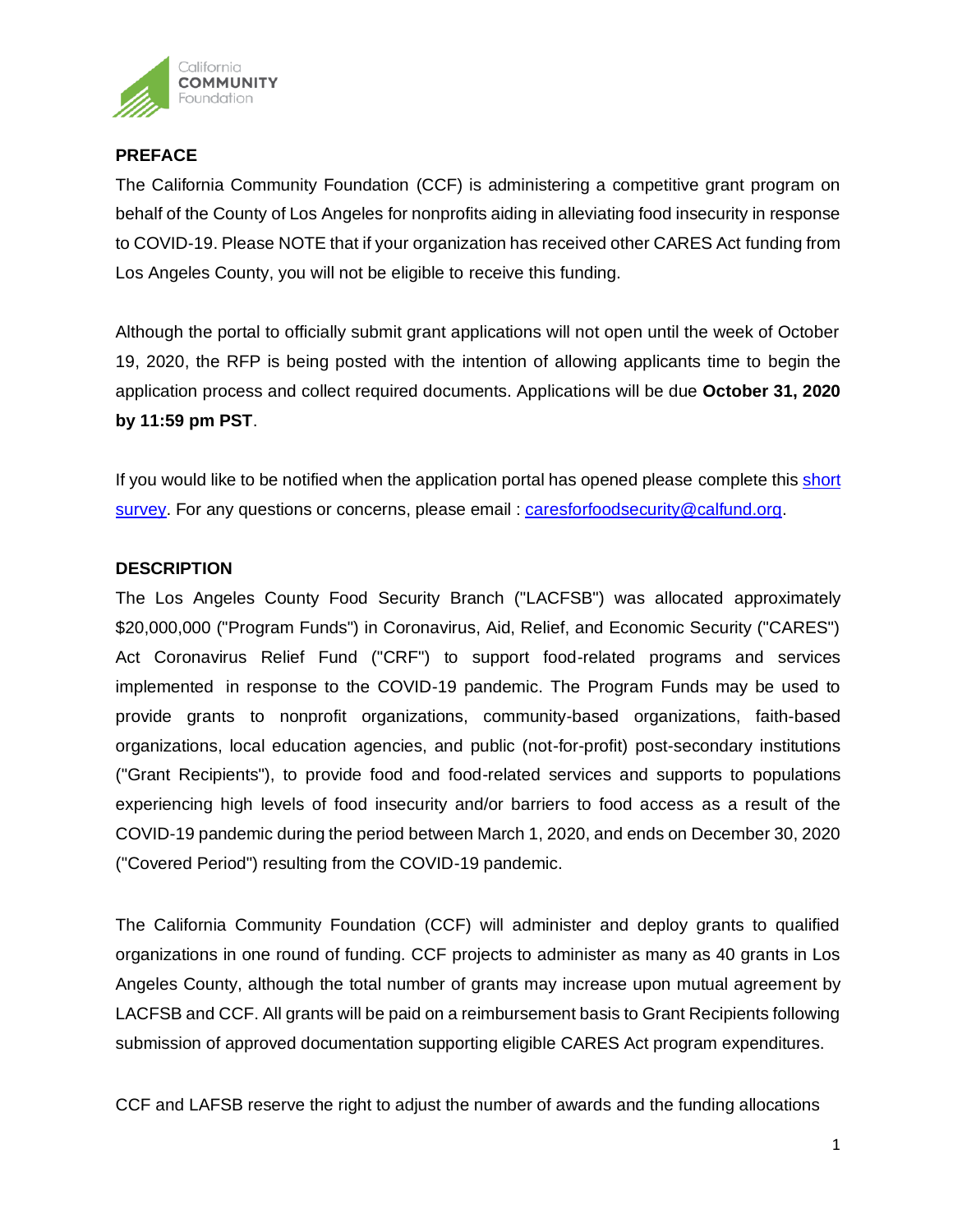

# **PREFACE**

The California Community Foundation (CCF) is administering a competitive grant program on behalf of the County of Los Angeles for nonprofits aiding in alleviating food insecurity in response to COVID-19. Please NOTE that if your organization has received other CARES Act funding from Los Angeles County, you will not be eligible to receive this funding.

Although the portal to officially submit grant applications will not open until the week of October 19, 2020, the RFP is being posted with the intention of allowing applicants time to begin the application process and collect required documents. Applications will be due **October 31, 2020 by 11:59 pm PST**.

If you would like to be notified when the application portal has opened please complete thi[s short](https://forms.gle/Lwz7EQaRRQoaXQYA7)  [survey.](https://forms.gle/Lwz7EQaRRQoaXQYA7) For any questions or concerns, please email : [caresforfoodsecurity@calfund.org.](mailto:caresforfoodsecurity@calfund.org)

## **DESCRIPTION**

The Los Angeles County Food Security Branch ("LACFSB") was allocated approximately \$20,000,000 ("Program Funds") in Coronavirus, Aid, Relief, and Economic Security ("CARES") Act Coronavirus Relief Fund ("CRF") to support food-related programs and services implemented in response to the COVID-19 pandemic. The Program Funds may be used to provide grants to nonprofit organizations, community-based organizations, faith-based organizations, local education agencies, and public (not-for-profit) post-secondary institutions ("Grant Recipients"), to provide food and food-related services and supports to populations experiencing high levels of food insecurity and/or barriers to food access as a result of the COVID-19 pandemic during the period between March 1, 2020, and ends on December 30, 2020 ("Covered Period") resulting from the COVID-19 pandemic.

The California Community Foundation (CCF) will administer and deploy grants to qualified organizations in one round of funding. CCF projects to administer as many as 40 grants in Los Angeles County, although the total number of grants may increase upon mutual agreement by LACFSB and CCF. All grants will be paid on a reimbursement basis to Grant Recipients following submission of approved documentation supporting eligible CARES Act program expenditures.

CCF and LAFSB reserve the right to adjust the number of awards and the funding allocations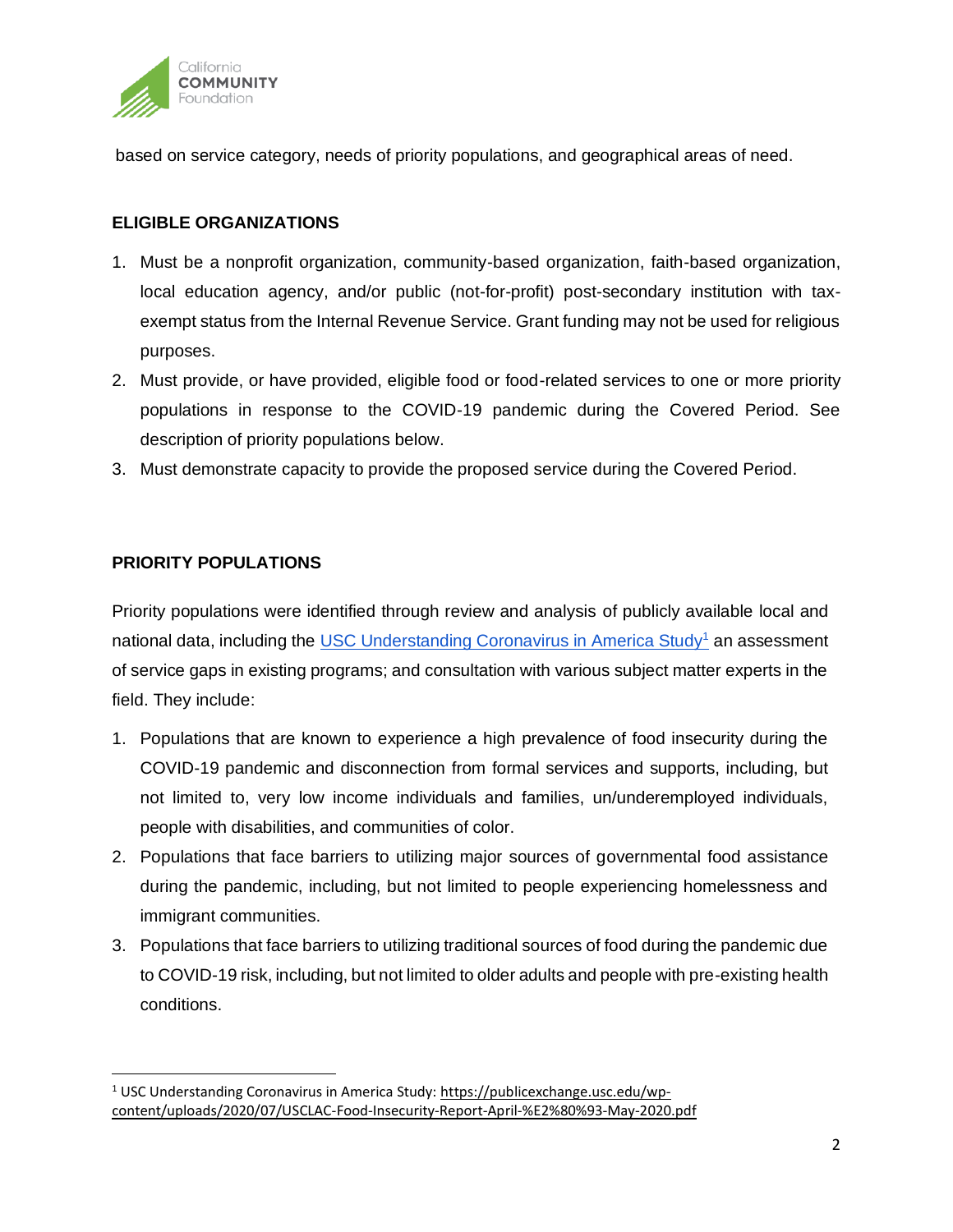

based on service category, needs of priority populations, and geographical areas of need.

## **ELIGIBLE ORGANIZATIONS**

- 1. Must be a nonprofit organization, community-based organization, faith-based organization, local education agency, and/or public (not-for-profit) post-secondary institution with taxexempt status from the Internal Revenue Service. Grant funding may not be used for religious purposes.
- 2. Must provide, or have provided, eligible food or food-related services to one or more priority populations in response to the COVID-19 pandemic during the Covered Period. See description of priority populations below.
- 3. Must demonstrate capacity to provide the proposed service during the Covered Period.

## **PRIORITY POPULATIONS**

Priority populations were identified through review and analysis of publicly available local and national data, including the USC Understanding Coronavirus in America Study<sup>1</sup> an assessment of service gaps in existing programs; and consultation with various subject matter experts in the field. They include:

- 1. Populations that are known to experience a high prevalence of food insecurity during the COVID-19 pandemic and disconnection from formal services and supports, including, but not limited to, very low income individuals and families, un/underemployed individuals, people with disabilities, and communities of color.
- 2. Populations that face barriers to utilizing major sources of governmental food assistance during the pandemic, including, but not limited to people experiencing homelessness and immigrant communities.
- 3. Populations that face barriers to utilizing traditional sources of food during the pandemic due to COVID-19 risk, including, but not limited to older adults and people with pre-existing health conditions.

<sup>1</sup> USC Understanding Coronavirus in America Study: [https://publicexchange.usc.edu/wp](https://publicexchange.usc.edu/wp-content/uploads/2020/07/USCLAC-Food-Insecurity-Report-April-%E2%80%93-May-2020.pdf)[content/uploads/2020/07/USCLAC-Food-Insecurity-Report-April-%E2%80%93-May-2020.pdf](https://publicexchange.usc.edu/wp-content/uploads/2020/07/USCLAC-Food-Insecurity-Report-April-%E2%80%93-May-2020.pdf)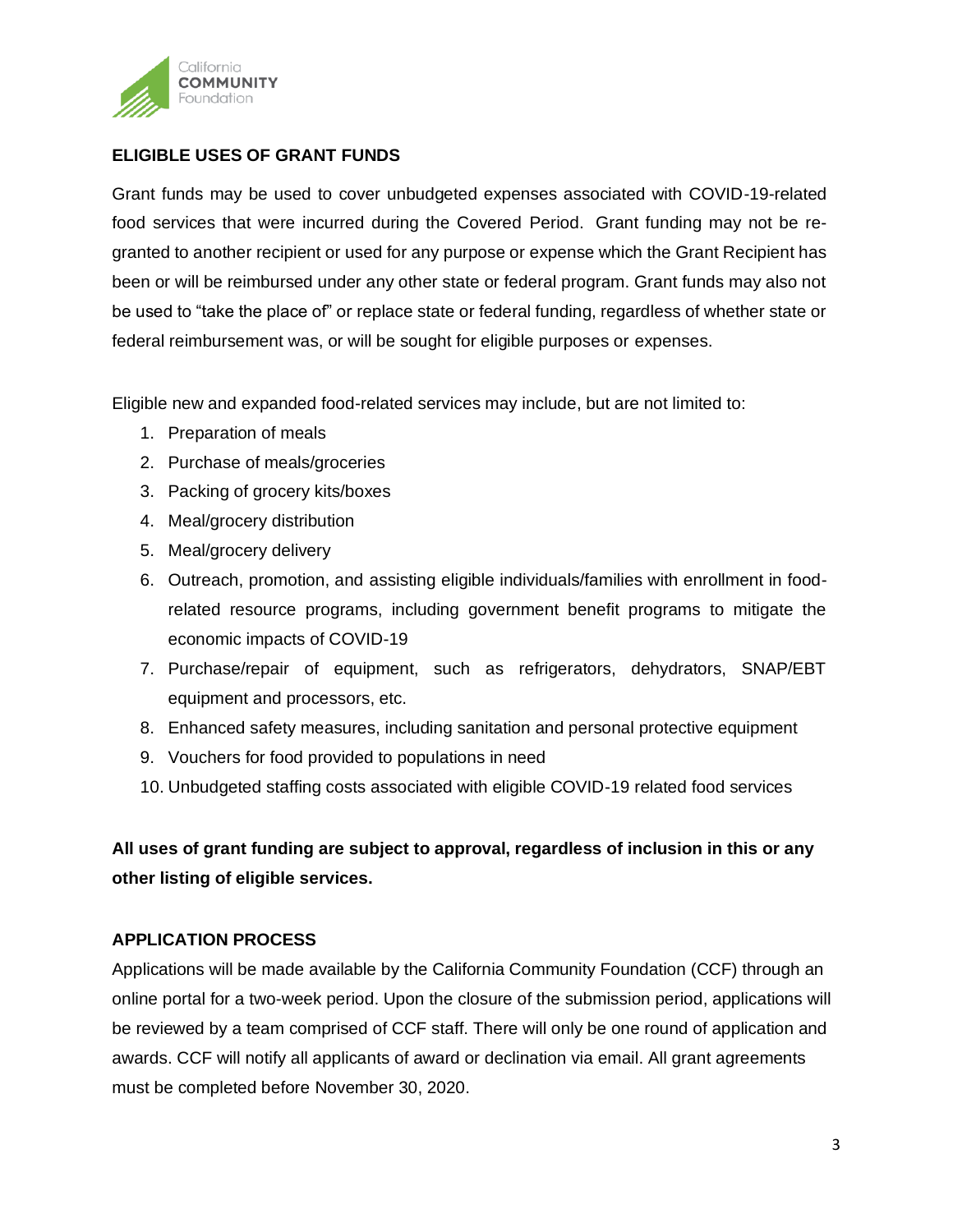

# **ELIGIBLE USES OF GRANT FUNDS**

Grant funds may be used to cover unbudgeted expenses associated with COVID-19-related food services that were incurred during the Covered Period. Grant funding may not be regranted to another recipient or used for any purpose or expense which the Grant Recipient has been or will be reimbursed under any other state or federal program. Grant funds may also not be used to "take the place of" or replace state or federal funding, regardless of whether state or federal reimbursement was, or will be sought for eligible purposes or expenses.

Eligible new and expanded food-related services may include, but are not limited to:

- 1. Preparation of meals
- 2. Purchase of meals/groceries
- 3. Packing of grocery kits/boxes
- 4. Meal/grocery distribution
- 5. Meal/grocery delivery
- 6. Outreach, promotion, and assisting eligible individuals/families with enrollment in foodrelated resource programs, including government benefit programs to mitigate the economic impacts of COVID-19
- 7. Purchase/repair of equipment, such as refrigerators, dehydrators, SNAP/EBT equipment and processors, etc.
- 8. Enhanced safety measures, including sanitation and personal protective equipment
- 9. Vouchers for food provided to populations in need
- 10. Unbudgeted staffing costs associated with eligible COVID-19 related food services

**All uses of grant funding are subject to approval, regardless of inclusion in this or any other listing of eligible services.**

# **APPLICATION PROCESS**

Applications will be made available by the California Community Foundation (CCF) through an online portal for a two-week period. Upon the closure of the submission period, applications will be reviewed by a team comprised of CCF staff. There will only be one round of application and awards. CCF will notify all applicants of award or declination via email. All grant agreements must be completed before November 30, 2020.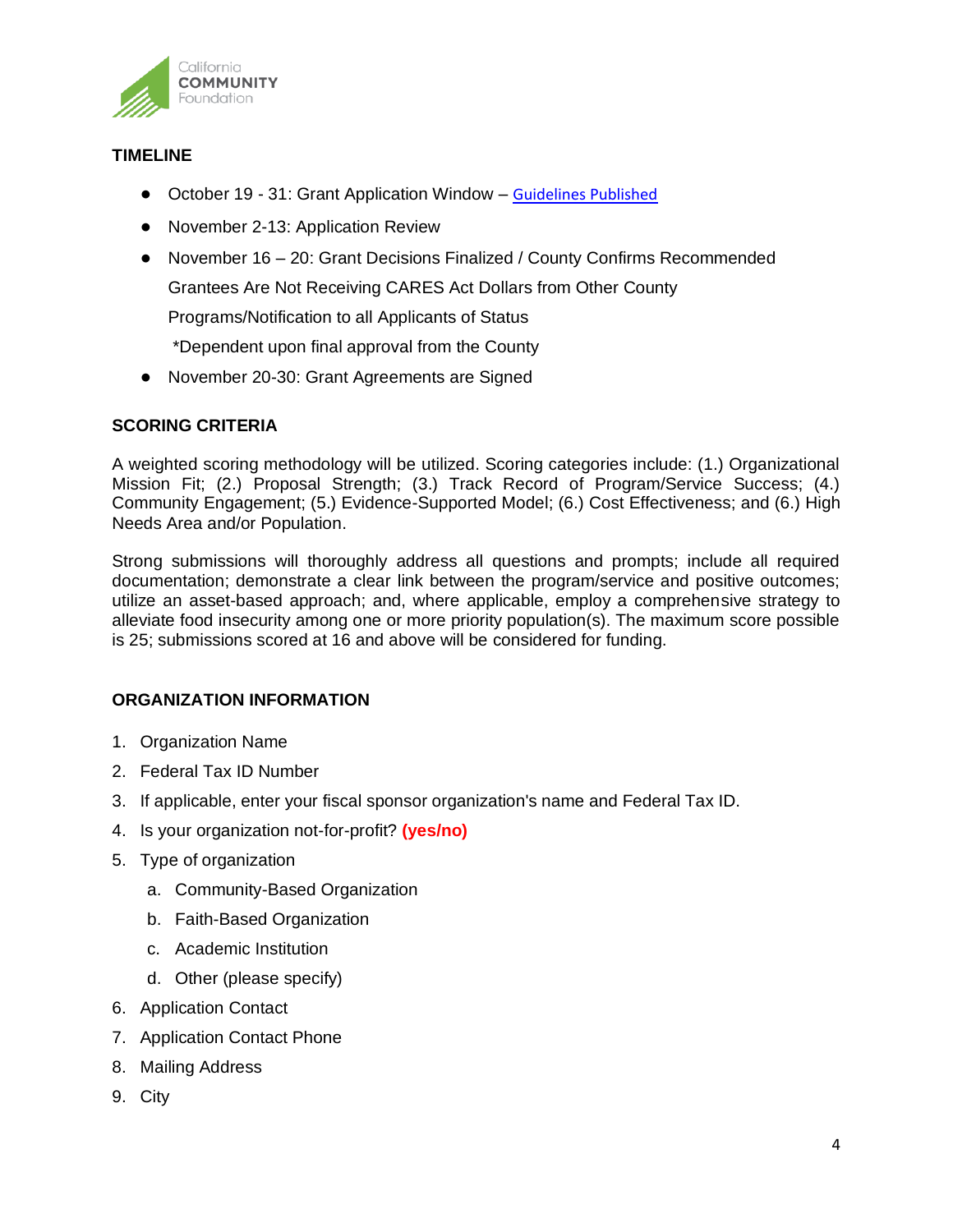

## **TIMELINE**

- October 19 31: Grant Application Window [–](https://www.calfund.org/wp-content/uploads/Youth-Development-Initiative_GrantGuidelines-3.18.2019.pdf) [Guidelines Published](https://www.calfund.org/nonprofits/open-grants/cares-act-coronavirus-relief-fund/)
- November 2-13: Application Review
- November 16 20: Grant Decisions Finalized / County Confirms Recommended

Grantees Are Not Receiving CARES Act Dollars from Other County

Programs/Notification to all Applicants of Status

\*Dependent upon final approval from the County

● November 20-30: Grant Agreements are Signed

## **SCORING CRITERIA**

A weighted scoring methodology will be utilized. Scoring categories include: (1.) Organizational Mission Fit; (2.) Proposal Strength; (3.) Track Record of Program/Service Success; (4.) Community Engagement; (5.) Evidence-Supported Model; (6.) Cost Effectiveness; and (6.) High Needs Area and/or Population.

Strong submissions will thoroughly address all questions and prompts; include all required documentation; demonstrate a clear link between the program/service and positive outcomes; utilize an asset-based approach; and, where applicable, employ a comprehensive strategy to alleviate food insecurity among one or more priority population(s). The maximum score possible is 25; submissions scored at 16 and above will be considered for funding.

## **ORGANIZATION INFORMATION**

- 1. Organization Name
- 2. Federal Tax ID Number
- 3. If applicable, enter your fiscal sponsor organization's name and Federal Tax ID.
- 4. Is your organization not-for-profit? **(yes/no)**
- 5. Type of organization
	- a. Community-Based Organization
	- b. Faith-Based Organization
	- c. Academic Institution
	- d. Other (please specify)
- 6. Application Contact
- 7. Application Contact Phone
- 8. Mailing Address
- 9. City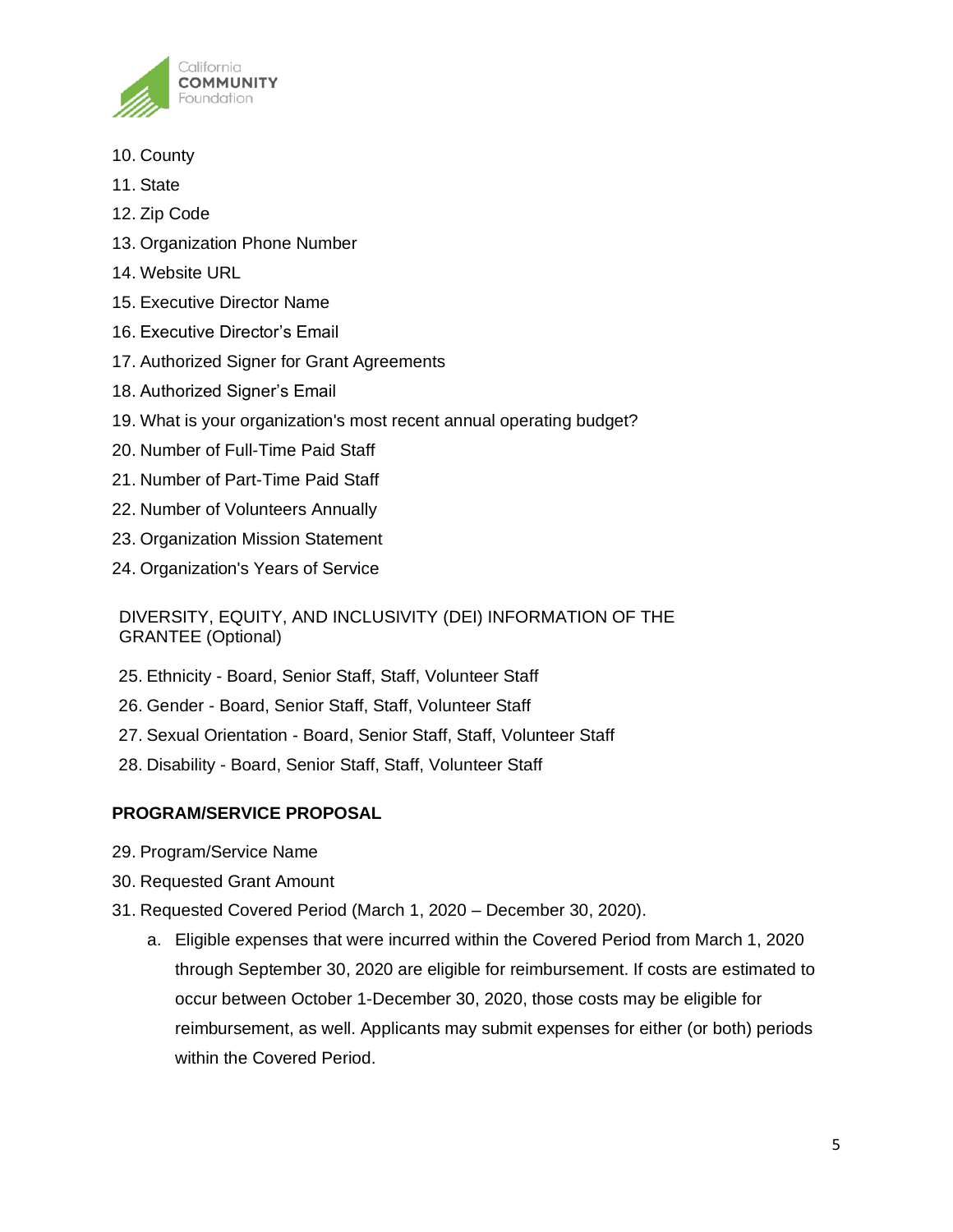

- 10. County
- 11. State
- 12. Zip Code
- 13. Organization Phone Number
- 14. Website URL
- 15. Executive Director Name
- 16. Executive Director's Email
- 17. Authorized Signer for Grant Agreements
- 18. Authorized Signer's Email
- 19. What is your organization's most recent annual operating budget?
- 20. Number of Full-Time Paid Staff
- 21. Number of Part-Time Paid Staff
- 22. Number of Volunteers Annually
- 23. Organization Mission Statement
- 24. Organization's Years of Service

DIVERSITY, EQUITY, AND INCLUSIVITY (DEI) INFORMATION OF THE GRANTEE (Optional)

- 25. Ethnicity Board, Senior Staff, Staff, Volunteer Staff
- 26. Gender Board, Senior Staff, Staff, Volunteer Staff
- 27. Sexual Orientation Board, Senior Staff, Staff, Volunteer Staff
- 28. Disability Board, Senior Staff, Staff, Volunteer Staff

# **PROGRAM/SERVICE PROPOSAL**

- 29. Program/Service Name
- 30. Requested Grant Amount
- 31. Requested Covered Period (March 1, 2020 December 30, 2020).
	- a. Eligible expenses that were incurred within the Covered Period from March 1, 2020 through September 30, 2020 are eligible for reimbursement. If costs are estimated to occur between October 1-December 30, 2020, those costs may be eligible for reimbursement, as well. Applicants may submit expenses for either (or both) periods within the Covered Period.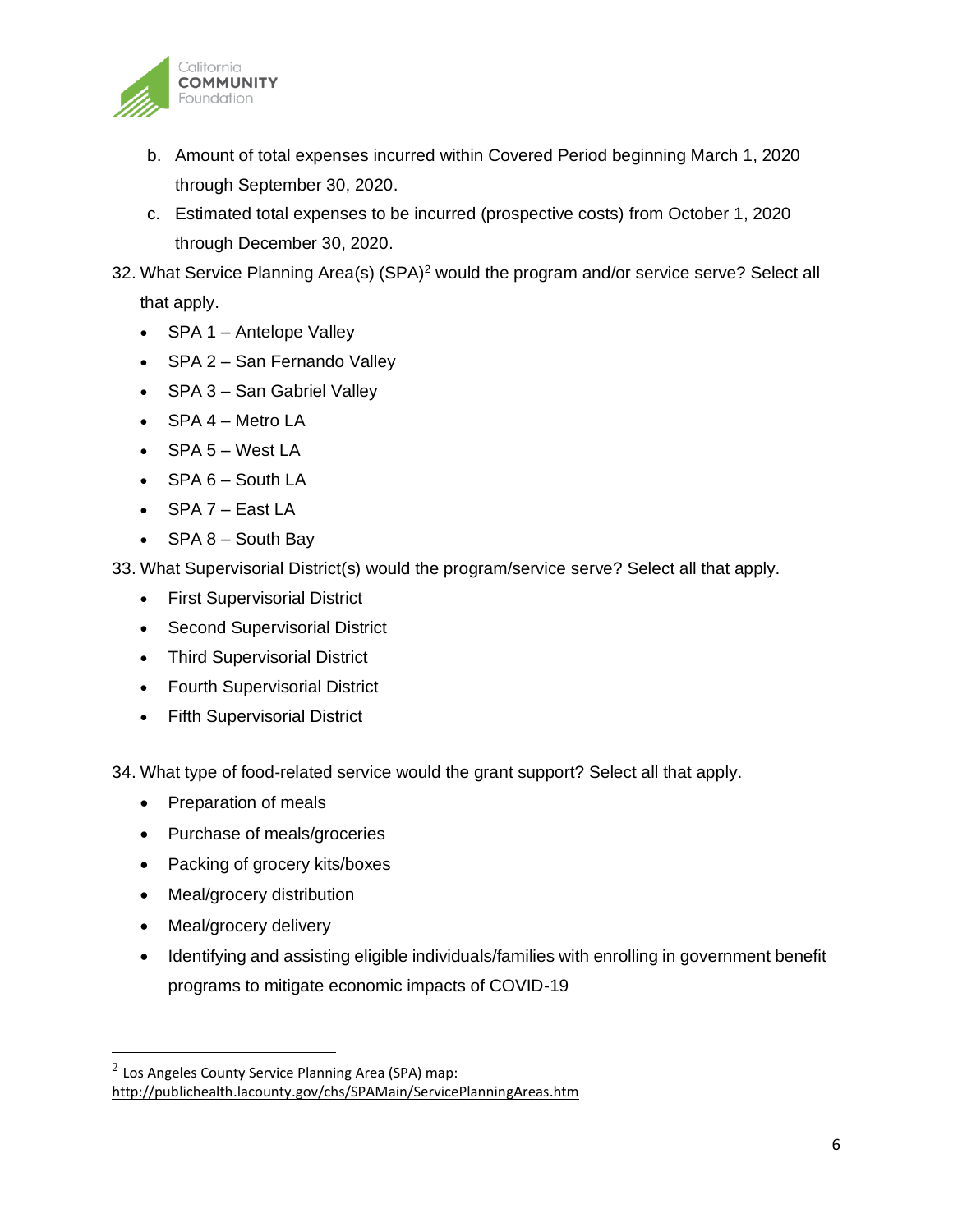

- b. Amount of total expenses incurred within Covered Period beginning March 1, 2020 through September 30, 2020.
- c. Estimated total expenses to be incurred (prospective costs) from October 1, 2020 through December 30, 2020.
- 32. What Service Planning Area(s) (SPA)<sup>2</sup> would the program and/or service serve? Select all that apply.
	- SPA 1 Antelope Valley
	- SPA 2 San Fernando Valley
	- SPA 3 San Gabriel Valley
	- SPA 4 Metro LA
	- SPA 5 West LA
	- SPA 6 South LA
	- SPA 7 East LA
	- $SPA 8 South Bay$

33. What Supervisorial District(s) would the program/service serve? Select all that apply.

- First Supervisorial District
- Second Supervisorial District
- Third Supervisorial District
- Fourth Supervisorial District
- Fifth Supervisorial District

34. What type of food-related service would the grant support? Select all that apply.

- Preparation of meals
- Purchase of meals/groceries
- Packing of grocery kits/boxes
- Meal/grocery distribution
- Meal/grocery delivery
- Identifying and assisting eligible individuals/families with enrolling in government benefit programs to mitigate economic impacts of COVID-19

 $^2$  Los Angeles County Service Planning Area (SPA) map: <http://publichealth.lacounty.gov/chs/SPAMain/ServicePlanningAreas.htm>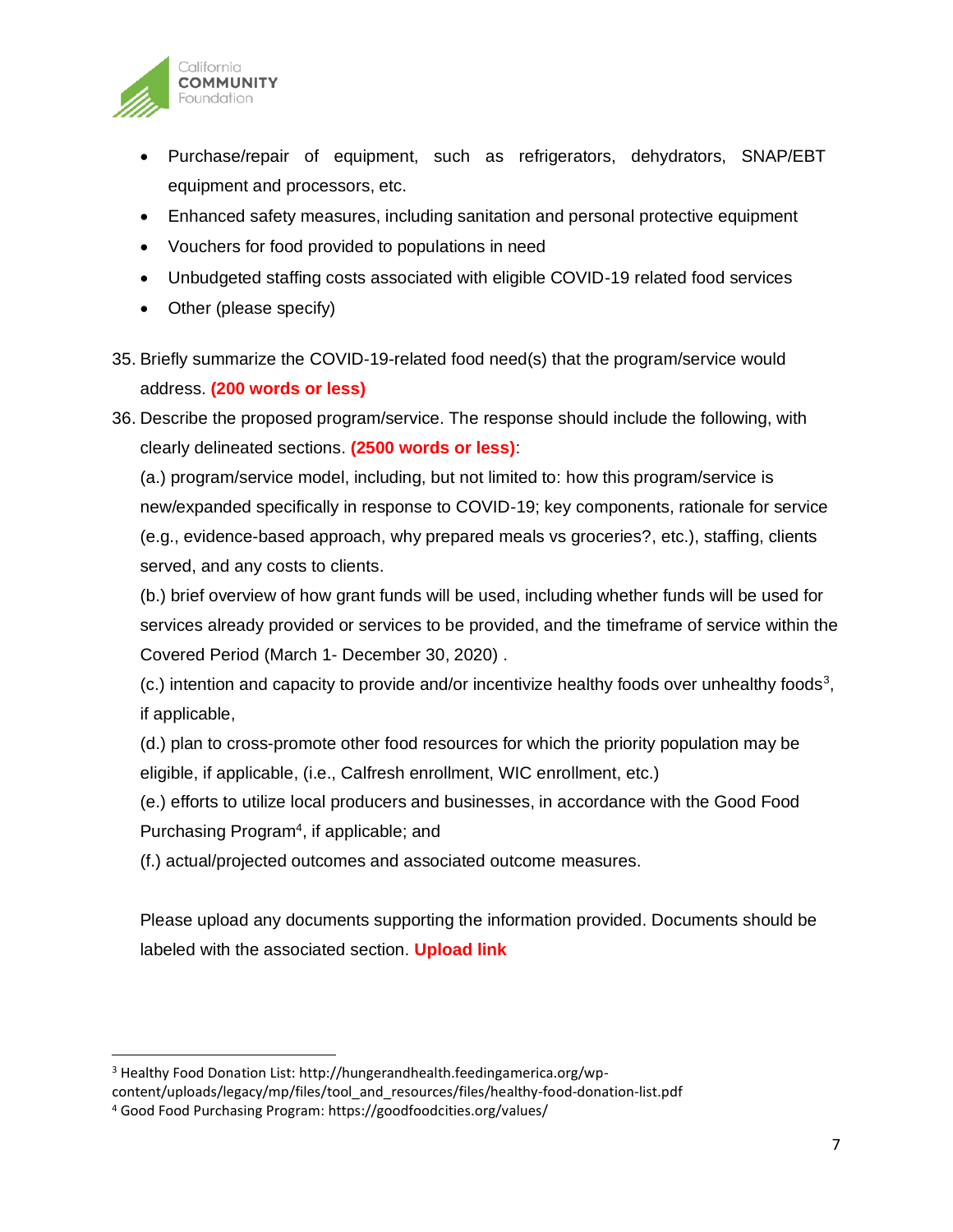

- Purchase/repair of equipment, such as refrigerators, dehydrators, SNAP/EBT equipment and processors, etc.
- Enhanced safety measures, including sanitation and personal protective equipment
- Vouchers for food provided to populations in need
- Unbudgeted staffing costs associated with eligible COVID-19 related food services
- Other (please specify)
- 35. Briefly summarize the COVID-19-related food need(s) that the program/service would address. **(200 words or less)**
- 36. Describe the proposed program/service. The response should include the following, with clearly delineated sections. **(2500 words or less)**:

(a.) program/service model, including, but not limited to: how this program/service is new/expanded specifically in response to COVID-19; key components, rationale for service (e.g., evidence-based approach, why prepared meals vs groceries?, etc.), staffing, clients served, and any costs to clients.

(b.) brief overview of how grant funds will be used, including whether funds will be used for services already provided or services to be provided, and the timeframe of service within the Covered Period (March 1- December 30, 2020) .

 $(c.)$  intention and capacity to provide and/or incentivize healthy foods over unhealthy foods<sup>3</sup>, if applicable,

(d.) plan to cross-promote other food resources for which the priority population may be eligible, if applicable, (i.e., Calfresh enrollment, WIC enrollment, etc.)

(e.) efforts to utilize local producers and businesses, in accordance with the Good Food Purchasing Program<sup>4</sup>, if applicable; and

(f.) actual/projected outcomes and associated outcome measures.

Please upload any documents supporting the information provided. Documents should be labeled with the associated section. **Upload link**

<sup>3</sup> Healthy Food Donation List: http://hungerandhealth.feedingamerica.org/wpcontent/uploads/legacy/mp/files/tool\_and\_resources/files/healthy-food-donation-list.pdf

<sup>4</sup> Good Food Purchasing Program: https://goodfoodcities.org/values/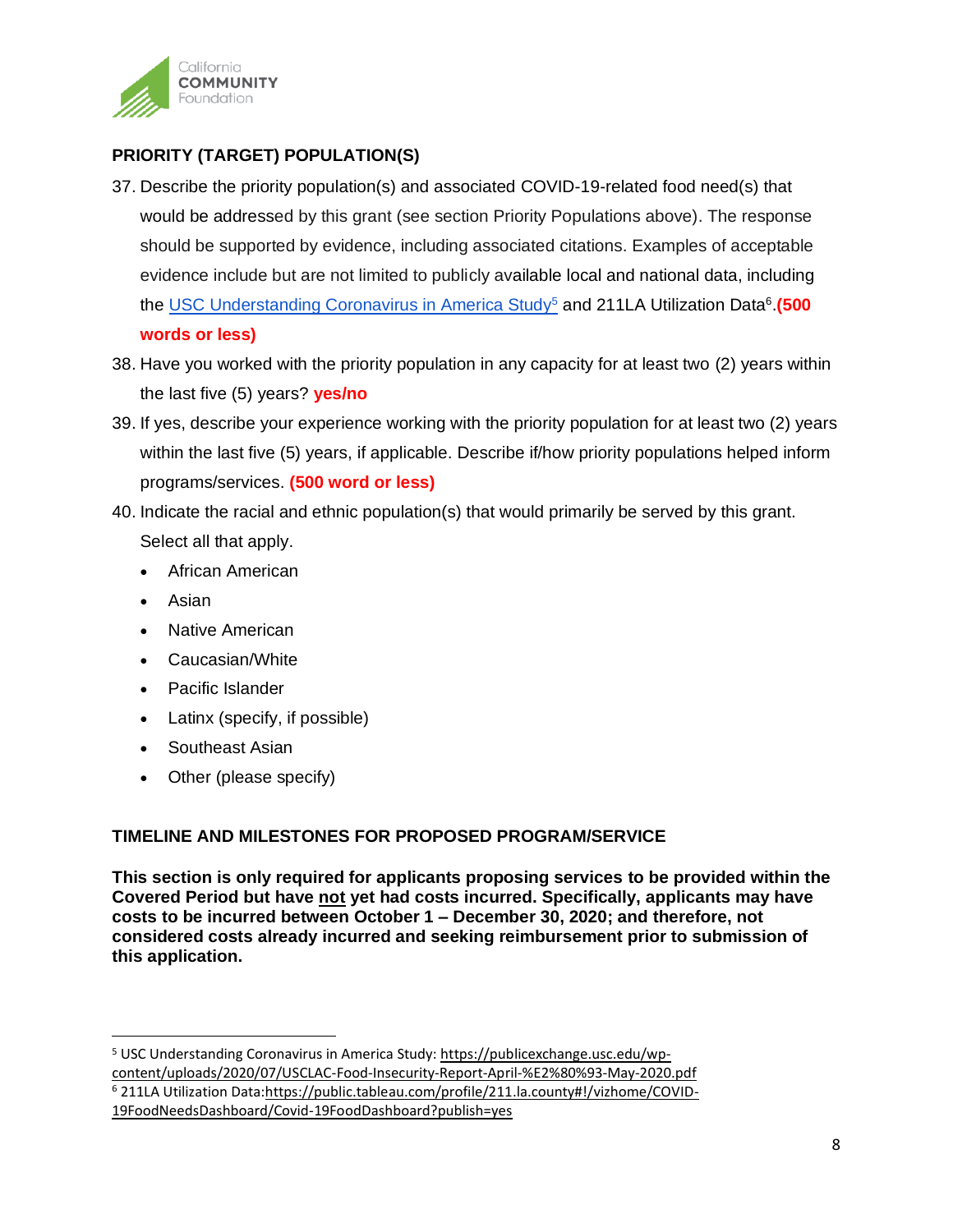

# **PRIORITY (TARGET) POPULATION(S)**

- 37. Describe the priority population(s) and associated COVID-19-related food need(s) that would be addressed by this grant (see section Priority Populations above). The response should be supported by evidence, including associated citations. Examples of acceptable evidence include but are not limited to publicly available local and national data, including the USC Understanding Coronavirus in America Study<sup>5</sup> and 211LA Utilization Data<sup>6</sup>.(500 **words or less)**
- 38. Have you worked with the priority population in any capacity for at least two (2) years within the last five (5) years? **yes/no**
- 39. If yes, describe your experience working with the priority population for at least two (2) years within the last five (5) years, if applicable. Describe if/how priority populations helped inform programs/services. **(500 word or less)**
- 40. Indicate the racial and ethnic population(s) that would primarily be served by this grant. Select all that apply.
	- African American
	- Asian
	- Native American
	- Caucasian/White
	- Pacific Islander
	- Latinx (specify, if possible)
	- Southeast Asian
	- Other (please specify)

# **TIMELINE AND MILESTONES FOR PROPOSED PROGRAM/SERVICE**

**This section is only required for applicants proposing services to be provided within the Covered Period but have not yet had costs incurred. Specifically, applicants may have costs to be incurred between October 1 – December 30, 2020; and therefore, not considered costs already incurred and seeking reimbursement prior to submission of this application.** 

<sup>5</sup> USC Understanding Coronavirus in America Study: [https://publicexchange.usc.edu/wp](https://publicexchange.usc.edu/wp-content/uploads/2020/07/USCLAC-Food-Insecurity-Report-April-%E2%80%93-May-2020.pdf)[content/uploads/2020/07/USCLAC-Food-Insecurity-Report-April-%E2%80%93-May-2020.pdf](https://publicexchange.usc.edu/wp-content/uploads/2020/07/USCLAC-Food-Insecurity-Report-April-%E2%80%93-May-2020.pdf) <sup>6</sup> 211LA Utilization Data[:https://public.tableau.com/profile/211.la.county#!/vizhome/COVID-](https://public.tableau.com/profile/211.la.county#!/vizhome/COVID-19FoodNeedsDashboard/Covid-19FoodDashboard?publish=yes)[19FoodNeedsDashboard/Covid-19FoodDashboard?publish=yes](https://public.tableau.com/profile/211.la.county#!/vizhome/COVID-19FoodNeedsDashboard/Covid-19FoodDashboard?publish=yes)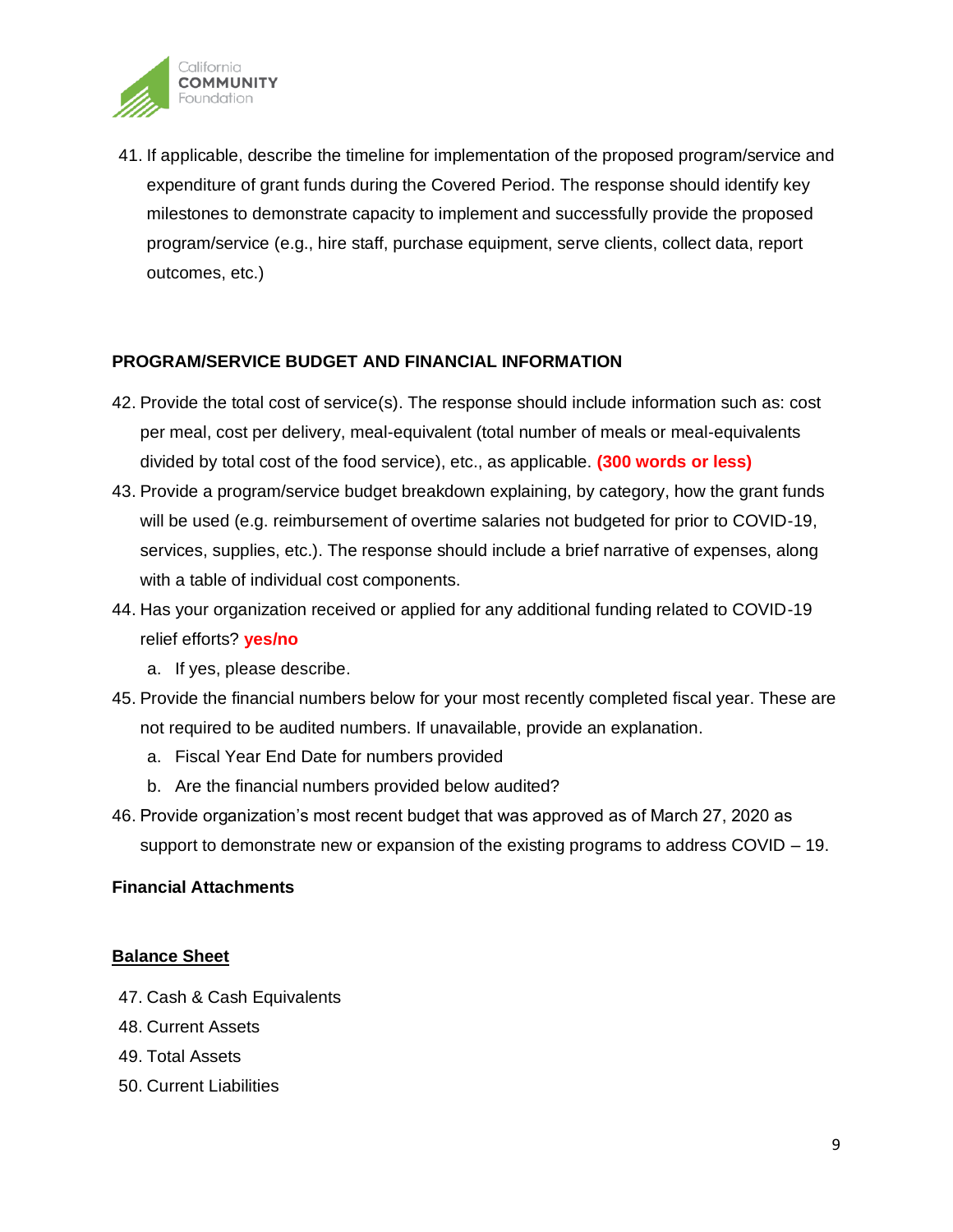

41. If applicable, describe the timeline for implementation of the proposed program/service and expenditure of grant funds during the Covered Period. The response should identify key milestones to demonstrate capacity to implement and successfully provide the proposed program/service (e.g., hire staff, purchase equipment, serve clients, collect data, report outcomes, etc.)

### **PROGRAM/SERVICE BUDGET AND FINANCIAL INFORMATION**

- 42. Provide the total cost of service(s). The response should include information such as: cost per meal, cost per delivery, meal-equivalent (total number of meals or meal-equivalents divided by total cost of the food service), etc., as applicable. **(300 words or less)**
- 43. Provide a program/service budget breakdown explaining, by category, how the grant funds will be used (e.g. reimbursement of overtime salaries not budgeted for prior to COVID-19, services, supplies, etc.). The response should include a brief narrative of expenses, along with a table of individual cost components.
- 44. Has your organization received or applied for any additional funding related to COVID-19 relief efforts? **yes/no**
	- a. If yes, please describe.
- 45. Provide the financial numbers below for your most recently completed fiscal year. These are not required to be audited numbers. If unavailable, provide an explanation.
	- a. Fiscal Year End Date for numbers provided
	- b. Are the financial numbers provided below audited?
- 46. Provide organization's most recent budget that was approved as of March 27, 2020 as support to demonstrate new or expansion of the existing programs to address COVID – 19.

#### **Financial Attachments**

#### **Balance Sheet**

- 47. Cash & Cash Equivalents
- 48. Current Assets
- 49. Total Assets
- 50. Current Liabilities